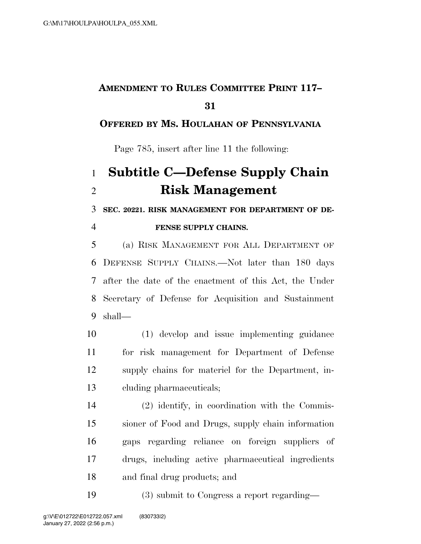## **AMENDMENT TO RULES COMMITTEE PRINT 117–**

### **OFFERED BY MS. HOULAHAN OF PENNSYLVANIA**

Page 785, insert after line 11 the following:

# **Subtitle C—Defense Supply Chain Risk Management**

**SEC. 20221. RISK MANAGEMENT FOR DEPARTMENT OF DE-**

#### **FENSE SUPPLY CHAINS.**

 (a) RISK MANAGEMENT FOR ALL DEPARTMENT OF DEFENSE SUPPLY CHAINS.—Not later than 180 days after the date of the enactment of this Act, the Under Secretary of Defense for Acquisition and Sustainment shall—

 (1) develop and issue implementing guidance for risk management for Department of Defense supply chains for materiel for the Department, in-cluding pharmaceuticals;

 (2) identify, in coordination with the Commis- sioner of Food and Drugs, supply chain information gaps regarding reliance on foreign suppliers of drugs, including active pharmaceutical ingredients and final drug products; and

(3) submit to Congress a report regarding—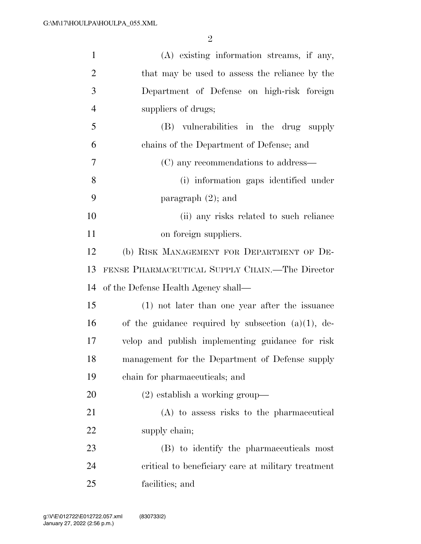| $\mathbf{1}$   | (A) existing information streams, if any,             |
|----------------|-------------------------------------------------------|
| $\overline{2}$ | that may be used to assess the reliance by the        |
| 3              | Department of Defense on high-risk foreign            |
| $\overline{4}$ | suppliers of drugs;                                   |
| 5              | (B) vulnerabilities in the drug supply                |
| 6              | chains of the Department of Defense; and              |
| $\overline{7}$ | (C) any recommendations to address—                   |
| 8              | (i) information gaps identified under                 |
| 9              | paragraph $(2)$ ; and                                 |
| 10             | (ii) any risks related to such reliance               |
| 11             | on foreign suppliers.                                 |
| 12             | (b) RISK MANAGEMENT FOR DEPARTMENT OF DE-             |
| 13             | FENSE PHARMACEUTICAL SUPPLY CHAIN.—The Director       |
| 14             | of the Defense Health Agency shall—                   |
| 15             | (1) not later than one year after the issuance        |
| 16             | of the guidance required by subsection $(a)(1)$ , de- |
| 17             | velop and publish implementing guidance for risk      |
| 18             | management for the Department of Defense supply       |
| 19             | chain for pharmaceuticals; and                        |
| 20             | $(2)$ establish a working group—                      |
| 21             | (A) to assess risks to the pharmaceutical             |
| 22             | supply chain;                                         |
| 23             | (B) to identify the pharmaceuticals most              |
| 24             | critical to beneficiary care at military treatment    |
| 25             | facilities; and                                       |